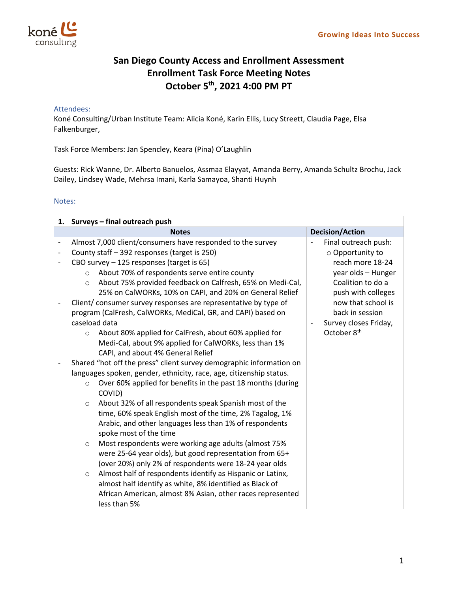

## **San Diego County Access and Enrollment Assessment Enrollment Task Force Meeting Notes October 5th, 2021 4:00 PM PT**

## Attendees:

Koné Consulting/Urban Institute Team: Alicia Koné, Karin Ellis, Lucy Streett, Claudia Page, Elsa Falkenburger,

Task Force Members: Jan Spencley, Keara (Pina) O'Laughlin

Guests: Rick Wanne, Dr. Alberto Banuelos, Assmaa Elayyat, Amanda Berry, Amanda Schultz Brochu, Jack Dailey, Lindsey Wade, Mehrsa Imani, Karla Samayoa, Shanti Huynh

## Notes:

|                              | 1. Surveys - final outreach push                                       |                         |  |  |  |
|------------------------------|------------------------------------------------------------------------|-------------------------|--|--|--|
|                              | <b>Notes</b>                                                           | <b>Decision/Action</b>  |  |  |  |
| $\qquad \qquad \blacksquare$ | Almost 7,000 client/consumers have responded to the survey             | Final outreach push:    |  |  |  |
|                              | County staff - 392 responses (target is 250)                           | o Opportunity to        |  |  |  |
|                              | CBO survey - 125 responses (target is 65)                              | reach more 18-24        |  |  |  |
|                              | About 70% of respondents serve entire county<br>$\circ$                | year olds - Hunger      |  |  |  |
|                              | About 75% provided feedback on Calfresh, 65% on Medi-Cal,<br>$\circ$   | Coalition to do a       |  |  |  |
|                              | 25% on CalWORKs, 10% on CAPI, and 20% on General Relief                | push with colleges      |  |  |  |
|                              | Client/consumer survey responses are representative by type of         | now that school is      |  |  |  |
|                              | program (CalFresh, CalWORKs, MediCal, GR, and CAPI) based on           | back in session         |  |  |  |
|                              | caseload data                                                          | Survey closes Friday,   |  |  |  |
|                              | About 80% applied for CalFresh, about 60% applied for<br>$\circ$       | October 8 <sup>th</sup> |  |  |  |
|                              | Medi-Cal, about 9% applied for CalWORKs, less than 1%                  |                         |  |  |  |
|                              | CAPI, and about 4% General Relief                                      |                         |  |  |  |
|                              | Shared "hot off the press" client survey demographic information on    |                         |  |  |  |
|                              | languages spoken, gender, ethnicity, race, age, citizenship status.    |                         |  |  |  |
|                              | Over 60% applied for benefits in the past 18 months (during<br>$\circ$ |                         |  |  |  |
|                              | COVID)                                                                 |                         |  |  |  |
|                              | About 32% of all respondents speak Spanish most of the<br>$\circ$      |                         |  |  |  |
|                              | time, 60% speak English most of the time, 2% Tagalog, 1%               |                         |  |  |  |
|                              | Arabic, and other languages less than 1% of respondents                |                         |  |  |  |
|                              | spoke most of the time                                                 |                         |  |  |  |
|                              | Most respondents were working age adults (almost 75%<br>$\circ$        |                         |  |  |  |
|                              | were 25-64 year olds), but good representation from 65+                |                         |  |  |  |
|                              | (over 20%) only 2% of respondents were 18-24 year olds                 |                         |  |  |  |
|                              | Almost half of respondents identify as Hispanic or Latinx,<br>$\circ$  |                         |  |  |  |
|                              | almost half identify as white, 8% identified as Black of               |                         |  |  |  |
|                              | African American, almost 8% Asian, other races represented             |                         |  |  |  |
|                              | less than 5%                                                           |                         |  |  |  |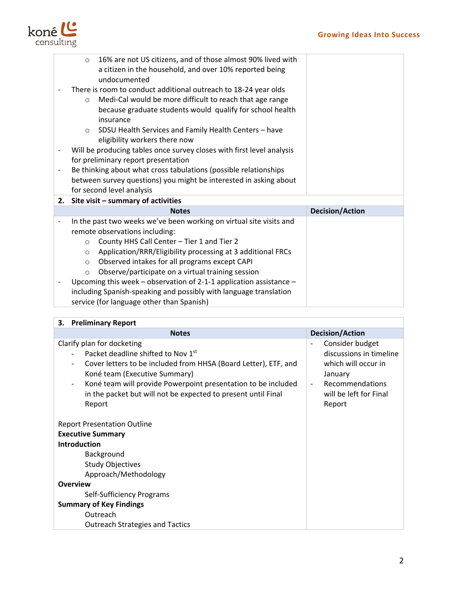

|                          | 16% are not US citizens, and of those almost 90% lived with<br>$\circ$ |                        |
|--------------------------|------------------------------------------------------------------------|------------------------|
|                          | a citizen in the household, and over 10% reported being                |                        |
|                          | undocumented                                                           |                        |
|                          | There is room to conduct additional outreach to 18-24 year olds        |                        |
|                          | Medi-Cal would be more difficult to reach that age range<br>$\circ$    |                        |
|                          | because graduate students would qualify for school health              |                        |
|                          | insurance                                                              |                        |
|                          | SDSU Health Services and Family Health Centers - have<br>$\circ$       |                        |
|                          | eligibility workers there now                                          |                        |
|                          | Will be producing tables once survey closes with first level analysis  |                        |
|                          | for preliminary report presentation                                    |                        |
| $\overline{\phantom{a}}$ | Be thinking about what cross tabulations (possible relationships       |                        |
|                          | between survey questions) you might be interested in asking about      |                        |
|                          | for second level analysis                                              |                        |
|                          | 2. Site visit - summary of activities                                  |                        |
|                          |                                                                        |                        |
|                          | <b>Notes</b>                                                           | <b>Decision/Action</b> |
| $\overline{\phantom{a}}$ | In the past two weeks we've been working on virtual site visits and    |                        |
|                          | remote observations including:                                         |                        |
|                          | County HHS Call Center - Tier 1 and Tier 2<br>$\circ$                  |                        |
|                          | Application/RRR/Eligibility processing at 3 additional FRCs<br>$\circ$ |                        |
|                          | Observed intakes for all programs except CAPI<br>$\circ$               |                        |
|                          | Observe/participate on a virtual training session<br>$\circ$           |                        |
| $\overline{\phantom{a}}$ | Upcoming this week – observation of 2-1-1 application assistance –     |                        |
|                          | including Spanish-speaking and possibly with language translation      |                        |

| <b>Preliminary Report</b><br>3.                                                                                                                                                                                                                                                                                                                                                                           |                                                                                                                                            |  |  |
|-----------------------------------------------------------------------------------------------------------------------------------------------------------------------------------------------------------------------------------------------------------------------------------------------------------------------------------------------------------------------------------------------------------|--------------------------------------------------------------------------------------------------------------------------------------------|--|--|
| <b>Notes</b>                                                                                                                                                                                                                                                                                                                                                                                              | <b>Decision/Action</b>                                                                                                                     |  |  |
| Clarify plan for docketing<br>Packet deadline shifted to Nov 1st<br>Cover letters to be included from HHSA (Board Letter), ETF, and<br>Koné team (Executive Summary)<br>Koné team will provide Powerpoint presentation to be included<br>in the packet but will not be expected to present until Final<br>Report<br><b>Report Presentation Outline</b><br><b>Executive Summary</b><br><b>Introduction</b> | Consider budget<br>discussions in timeline<br>which will occur in<br>January<br><b>Recommendations</b><br>will be left for Final<br>Report |  |  |
| Background<br><b>Study Objectives</b>                                                                                                                                                                                                                                                                                                                                                                     |                                                                                                                                            |  |  |
| Approach/Methodology                                                                                                                                                                                                                                                                                                                                                                                      |                                                                                                                                            |  |  |
| <b>Overview</b>                                                                                                                                                                                                                                                                                                                                                                                           |                                                                                                                                            |  |  |
| Self-Sufficiency Programs                                                                                                                                                                                                                                                                                                                                                                                 |                                                                                                                                            |  |  |
| <b>Summary of Key Findings</b>                                                                                                                                                                                                                                                                                                                                                                            |                                                                                                                                            |  |  |
| Outreach                                                                                                                                                                                                                                                                                                                                                                                                  |                                                                                                                                            |  |  |
| <b>Outreach Strategies and Tactics</b>                                                                                                                                                                                                                                                                                                                                                                    |                                                                                                                                            |  |  |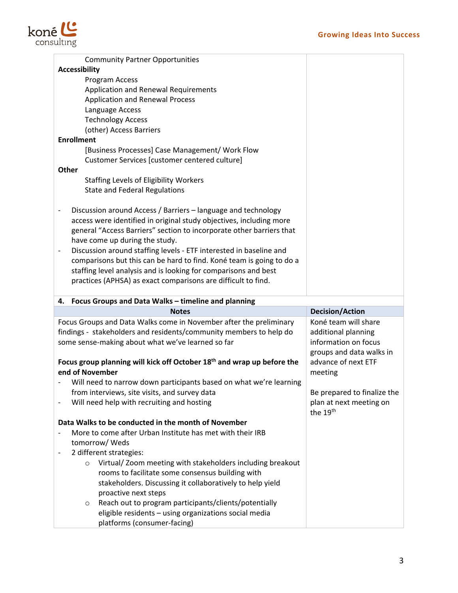

|                              | <b>Community Partner Opportunities</b>                                               |                                                |  |  |  |  |
|------------------------------|--------------------------------------------------------------------------------------|------------------------------------------------|--|--|--|--|
|                              | <b>Accessibility</b>                                                                 |                                                |  |  |  |  |
|                              | Program Access                                                                       |                                                |  |  |  |  |
|                              | Application and Renewal Requirements                                                 |                                                |  |  |  |  |
|                              | <b>Application and Renewal Process</b>                                               |                                                |  |  |  |  |
|                              | Language Access                                                                      |                                                |  |  |  |  |
|                              | <b>Technology Access</b>                                                             |                                                |  |  |  |  |
|                              | (other) Access Barriers                                                              |                                                |  |  |  |  |
| <b>Enrollment</b>            |                                                                                      |                                                |  |  |  |  |
|                              | [Business Processes] Case Management/ Work Flow                                      |                                                |  |  |  |  |
|                              | Customer Services [customer centered culture]                                        |                                                |  |  |  |  |
| <b>Other</b>                 |                                                                                      |                                                |  |  |  |  |
|                              | <b>Staffing Levels of Eligibility Workers</b>                                        |                                                |  |  |  |  |
|                              | <b>State and Federal Regulations</b>                                                 |                                                |  |  |  |  |
|                              |                                                                                      |                                                |  |  |  |  |
| $\overline{\phantom{a}}$     | Discussion around Access / Barriers - language and technology                        |                                                |  |  |  |  |
|                              | access were identified in original study objectives, including more                  |                                                |  |  |  |  |
|                              | general "Access Barriers" section to incorporate other barriers that                 |                                                |  |  |  |  |
|                              | have come up during the study.                                                       |                                                |  |  |  |  |
|                              |                                                                                      |                                                |  |  |  |  |
| $\overline{\phantom{a}}$     | Discussion around staffing levels - ETF interested in baseline and                   |                                                |  |  |  |  |
|                              | comparisons but this can be hard to find. Koné team is going to do a                 |                                                |  |  |  |  |
|                              | staffing level analysis and is looking for comparisons and best                      |                                                |  |  |  |  |
|                              | practices (APHSA) as exact comparisons are difficult to find.                        |                                                |  |  |  |  |
| 4.                           | Focus Groups and Data Walks - timeline and planning                                  |                                                |  |  |  |  |
|                              |                                                                                      |                                                |  |  |  |  |
|                              | <b>Notes</b>                                                                         |                                                |  |  |  |  |
|                              |                                                                                      | <b>Decision/Action</b><br>Koné team will share |  |  |  |  |
|                              | Focus Groups and Data Walks come in November after the preliminary                   |                                                |  |  |  |  |
|                              | findings - stakeholders and residents/community members to help do                   | additional planning                            |  |  |  |  |
|                              | some sense-making about what we've learned so far                                    | information on focus                           |  |  |  |  |
|                              |                                                                                      | groups and data walks in                       |  |  |  |  |
|                              | Focus group planning will kick off October 18 <sup>th</sup> and wrap up before the   | advance of next ETF                            |  |  |  |  |
|                              | end of November                                                                      | meeting                                        |  |  |  |  |
|                              | Will need to narrow down participants based on what we're learning                   |                                                |  |  |  |  |
|                              | from interviews, site visits, and survey data                                        | Be prepared to finalize the                    |  |  |  |  |
|                              | Will need help with recruiting and hosting                                           | plan at next meeting on                        |  |  |  |  |
|                              |                                                                                      | the 19 <sup>th</sup>                           |  |  |  |  |
|                              | Data Walks to be conducted in the month of November                                  |                                                |  |  |  |  |
|                              | More to come after Urban Institute has met with their IRB                            |                                                |  |  |  |  |
|                              | tomorrow/ Weds                                                                       |                                                |  |  |  |  |
| $\qquad \qquad \blacksquare$ | 2 different strategies:                                                              |                                                |  |  |  |  |
|                              | Virtual/ Zoom meeting with stakeholders including breakout<br>$\circ$                |                                                |  |  |  |  |
|                              | rooms to facilitate some consensus building with                                     |                                                |  |  |  |  |
|                              | stakeholders. Discussing it collaboratively to help yield                            |                                                |  |  |  |  |
|                              | proactive next steps                                                                 |                                                |  |  |  |  |
|                              | Reach out to program participants/clients/potentially<br>O                           |                                                |  |  |  |  |
|                              | eligible residents - using organizations social media<br>platforms (consumer-facing) |                                                |  |  |  |  |